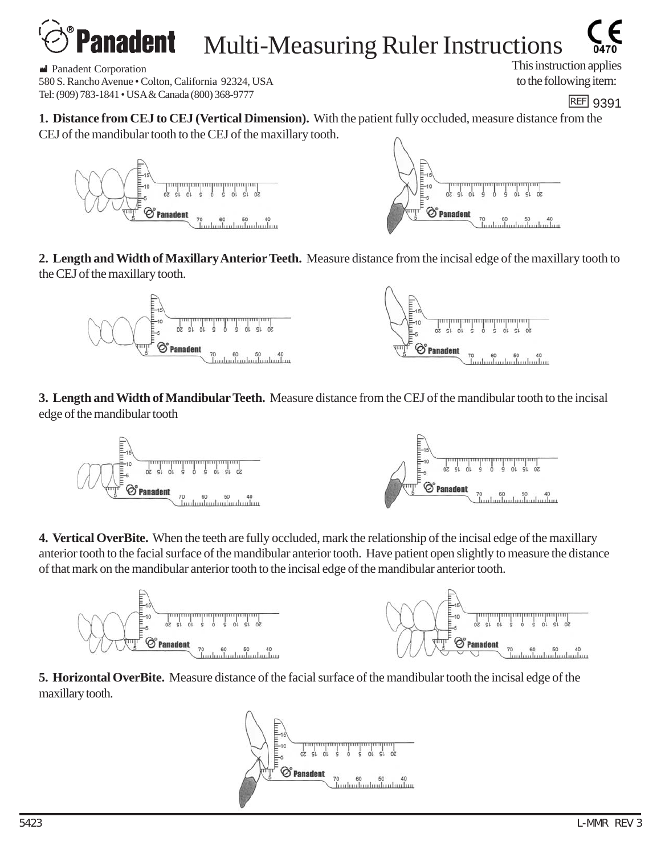## Multi-Measuring Ruler Instructions

 M Panadent Corporation 580 S. Rancho Avenue • Colton, California 92324, USA Tel: (909) 783-1841 • USA & Canada (800) 368-9777 https://www.astrophysics.com/heaterstart and the USA & Canada (800) 368-9777

This instruction applies to the following item:

**1. Distance from CEJ to CEJ (Vertical Dimension).** With the patient fully occluded, measure distance from the CEJ of the mandibular tooth to the CEJ of the maxillary tooth.



**2. Length and Width of Maxillary Anterior Teeth.** Measure distance from the incisal edge of the maxillary tooth to the CEJ of the maxillary tooth.



**3. Length and Width of Mandibular Teeth.** Measure distance from the CEJ of the mandibular tooth to the incisal edge of the mandibular tooth



**4. Vertical OverBite.** When the teeth are fully occluded, mark the relationship of the incisal edge of the maxillary anterior tooth to the facial surface of the mandibular anterior tooth. Have patient open slightly to measure the distance of that mark on the mandibular anterior tooth to the incisal edge of the mandibular anterior tooth.



**5. Horizontal OverBite.** Measure distance of the facial surface of the mandibular tooth the incisal edge of the maxillary tooth.